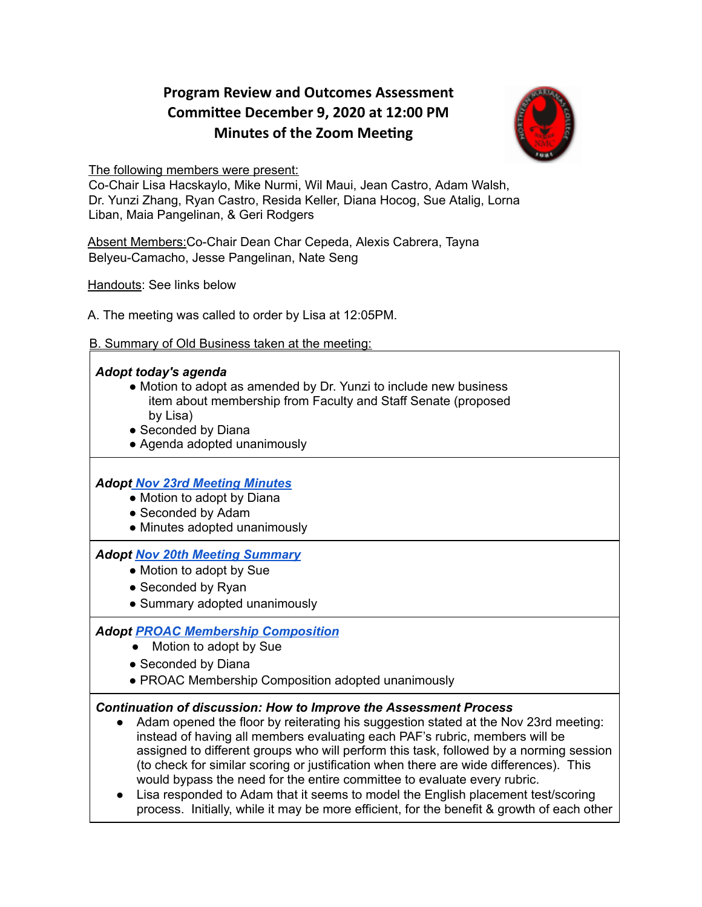# **Program Review and Outcomes Assessment Commiee December 9, 2020 at 12:00 PM Minutes of the Zoom Meeting**



The following members were present:

Co-Chair Lisa Hacskaylo, Mike Nurmi, Wil Maui, Jean Castro, Adam Walsh, Dr. Yunzi Zhang, Ryan Castro, Resida Keller, Diana Hocog, Sue Atalig, Lorna Liban, Maia Pangelinan, & Geri Rodgers

Absent Members:Co-Chair Dean Char Cepeda, Alexis Cabrera, Tayna Belyeu-Camacho, Jesse Pangelinan, Nate Seng

Handouts: See links below

A. The meeting was called to order by Lisa at 12:05PM.

B. Summary of Old Business taken at the meeting:

## *Adopt today's agenda*

- Motion to adopt as amended by Dr. Yunzi to include new business item about membership from Faculty and Staff Senate (proposed by Lisa)
- Seconded by Diana
- Agenda adopted unanimously

# *Adop[t](https://drive.google.com/file/d/1hkXXFdlpKh3Xpb5clVSsRAm5zbnWD3lh/view?usp=sharing) Nov 23rd [Meeting](https://drive.google.com/file/d/1hkXXFdlpKh3Xpb5clVSsRAm5zbnWD3lh/view?usp=sharing) Minutes*

- Motion to adopt by Diana
- Seconded by Adam
- Minutes adopted unanimously

### *Adopt Nov 20th Meeting [Summary](https://docs.google.com/document/d/1cP4uwHSb6-yG6SXsG0vHvmlFUzJdK0IoQm6ApSwGyCY/edit)*

- Motion to adopt by Sue
- Seconded by Ryan
- Summary adopted unanimously

# *Adopt PROAC Membership [Composition](https://docs.google.com/document/d/1sv_Dbgbw0tdoi9xyLituX5eHPrNvy8SxxFTTt6tv7_I/edit)*

- Motion to adopt by Sue
- Seconded by Diana
- PROAC Membership Composition adopted unanimously

### *Continuation of discussion: How to Improve the Assessment Process*

- Adam opened the floor by reiterating his suggestion stated at the Nov 23rd meeting: instead of having all members evaluating each PAF's rubric, members will be assigned to different groups who will perform this task, followed by a norming session (to check for similar scoring or justification when there are wide differences). This would bypass the need for the entire committee to evaluate every rubric.
- Lisa responded to Adam that it seems to model the English placement test/scoring process. Initially, while it may be more efficient, for the benefit & growth of each other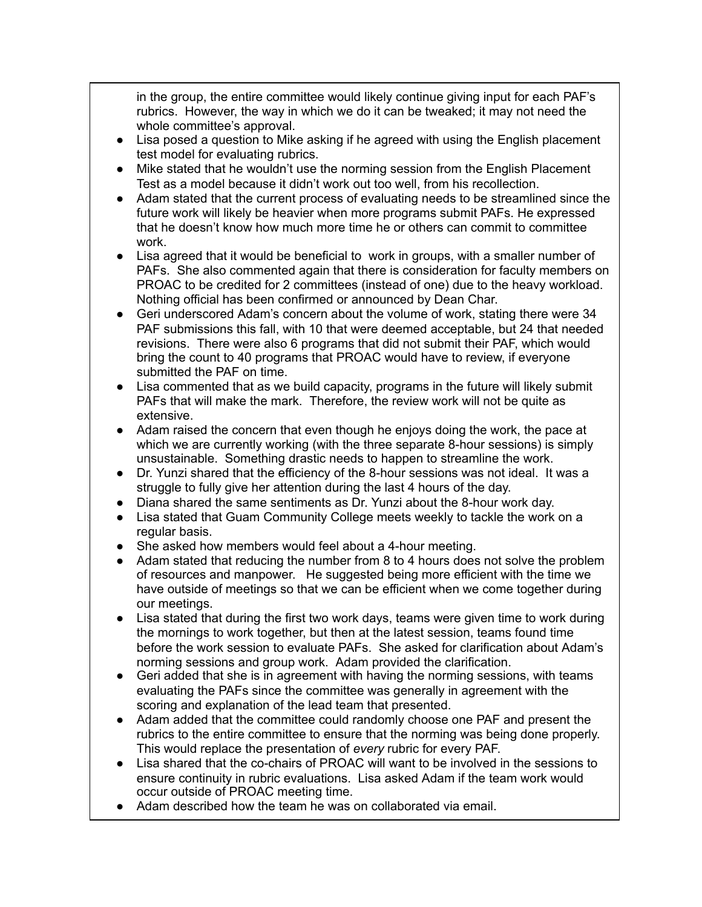in the group, the entire committee would likely continue giving input for each PAF's rubrics. However, the way in which we do it can be tweaked; it may not need the whole committee's approval.

- Lisa posed a question to Mike asking if he agreed with using the English placement test model for evaluating rubrics.
- Mike stated that he wouldn't use the norming session from the English Placement Test as a model because it didn't work out too well, from his recollection.
- Adam stated that the current process of evaluating needs to be streamlined since the future work will likely be heavier when more programs submit PAFs. He expressed that he doesn't know how much more time he or others can commit to committee work.
- Lisa agreed that it would be beneficial to work in groups, with a smaller number of PAFs. She also commented again that there is consideration for faculty members on PROAC to be credited for 2 committees (instead of one) due to the heavy workload. Nothing official has been confirmed or announced by Dean Char.
- Geri underscored Adam's concern about the volume of work, stating there were 34 PAF submissions this fall, with 10 that were deemed acceptable, but 24 that needed revisions. There were also 6 programs that did not submit their PAF, which would bring the count to 40 programs that PROAC would have to review, if everyone submitted the PAF on time.
- Lisa commented that as we build capacity, programs in the future will likely submit PAFs that will make the mark. Therefore, the review work will not be quite as extensive.
- Adam raised the concern that even though he enjoys doing the work, the pace at which we are currently working (with the three separate 8-hour sessions) is simply unsustainable. Something drastic needs to happen to streamline the work.
- Dr. Yunzi shared that the efficiency of the 8-hour sessions was not ideal. It was a struggle to fully give her attention during the last 4 hours of the day.
- Diana shared the same sentiments as Dr. Yunzi about the 8-hour work day.
- Lisa stated that Guam Community College meets weekly to tackle the work on a regular basis.
- She asked how members would feel about a 4-hour meeting.
- Adam stated that reducing the number from 8 to 4 hours does not solve the problem of resources and manpower. He suggested being more efficient with the time we have outside of meetings so that we can be efficient when we come together during our meetings.
- Lisa stated that during the first two work days, teams were given time to work during the mornings to work together, but then at the latest session, teams found time before the work session to evaluate PAFs. She asked for clarification about Adam's norming sessions and group work. Adam provided the clarification.
- Geri added that she is in agreement with having the norming sessions, with teams evaluating the PAFs since the committee was generally in agreement with the scoring and explanation of the lead team that presented.
- Adam added that the committee could randomly choose one PAF and present the rubrics to the entire committee to ensure that the norming was being done properly. This would replace the presentation of *every* rubric for every PAF.
- Lisa shared that the co-chairs of PROAC will want to be involved in the sessions to ensure continuity in rubric evaluations. Lisa asked Adam if the team work would occur outside of PROAC meeting time.
- Adam described how the team he was on collaborated via email.